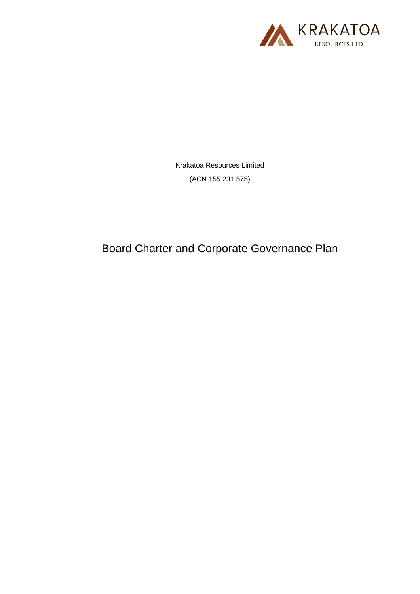

Krakatoa Resources Limited (ACN 155 231 575)

<span id="page-0-1"></span><span id="page-0-0"></span>Board Charter and Corporate Governance Plan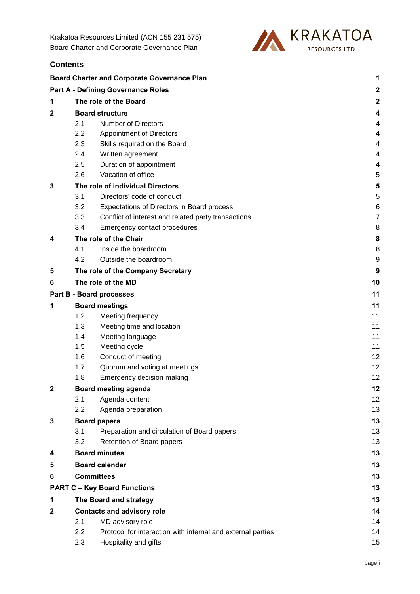Krakatoa Resources Limited (ACN 155 231 575) [Board Charter and Corporate Governance Plan](#page-0-0)

**Contents**



|                                 | <b>Board Charter and Corporate Governance Plan</b><br>1 |                                                     |                  |  |  |
|---------------------------------|---------------------------------------------------------|-----------------------------------------------------|------------------|--|--|
|                                 |                                                         | <b>Part A - Defining Governance Roles</b>           | $\boldsymbol{2}$ |  |  |
| 1                               |                                                         | The role of the Board                               | $\boldsymbol{2}$ |  |  |
| $\mathbf{2}$                    |                                                         | <b>Board structure</b>                              | 4                |  |  |
|                                 | 2.1                                                     | <b>Number of Directors</b>                          | 4                |  |  |
|                                 | 2.2                                                     | <b>Appointment of Directors</b>                     | 4                |  |  |
|                                 | 2.3                                                     | Skills required on the Board                        | 4                |  |  |
|                                 | 2.4                                                     | Written agreement                                   | 4                |  |  |
|                                 | 2.5                                                     | Duration of appointment                             | 4                |  |  |
|                                 | 2.6                                                     | Vacation of office                                  | 5                |  |  |
| 3                               |                                                         | The role of individual Directors                    | 5                |  |  |
|                                 | 3.1                                                     | Directors' code of conduct                          | 5                |  |  |
|                                 | 3.2                                                     | Expectations of Directors in Board process          | 6                |  |  |
|                                 | 3.3                                                     | Conflict of interest and related party transactions | $\overline{7}$   |  |  |
|                                 | 3.4                                                     | Emergency contact procedures                        | 8                |  |  |
| 4                               | The role of the Chair                                   |                                                     | 8                |  |  |
|                                 | 4.1                                                     | Inside the boardroom                                | 8                |  |  |
|                                 | 4.2                                                     | Outside the boardroom                               | 9                |  |  |
| 5                               |                                                         | The role of the Company Secretary                   | 9                |  |  |
| 6                               |                                                         | The role of the MD                                  | 10               |  |  |
| <b>Part B - Board processes</b> |                                                         | 11                                                  |                  |  |  |
| 1                               | <b>Board meetings</b>                                   |                                                     | 11               |  |  |
|                                 | 1.2                                                     | Meeting frequency                                   | 11               |  |  |
|                                 | 1.3                                                     | Meeting time and location                           | 11               |  |  |
|                                 | 1.4                                                     | Meeting language                                    | 11               |  |  |
|                                 | 1.5                                                     | Meeting cycle                                       | 11               |  |  |
|                                 | 1.6                                                     | Conduct of meeting                                  | 12               |  |  |
|                                 | 1.7                                                     | Quorum and voting at meetings                       | 12               |  |  |
|                                 | 1.8                                                     | Emergency decision making                           | 12               |  |  |
| 2                               | Board meeting agenda                                    |                                                     | 12               |  |  |
|                                 | 2.1                                                     | Agenda content                                      | 12               |  |  |
|                                 | 2.2                                                     | Agenda preparation                                  | 13               |  |  |
| 3                               |                                                         | <b>Board papers</b>                                 | 13               |  |  |
|                                 | 3.1                                                     | Preparation and circulation of Board papers         | 13               |  |  |
|                                 | 3.2                                                     | Retention of Board papers                           | 13               |  |  |
| 4                               |                                                         | <b>Board minutes</b>                                | 13               |  |  |
| 5                               |                                                         | <b>Board calendar</b>                               | 13               |  |  |
|                                 |                                                         | <b>Committees</b><br>13                             |                  |  |  |

| <b>PART C - Key Board Functions</b> |  |
|-------------------------------------|--|
|-------------------------------------|--|

| The Board and strategy            |                  | 13 |
|-----------------------------------|------------------|----|
| <b>Contacts and advisory role</b> |                  |    |
| 2.1                               | MD advisory role | 14 |

- 2.2 [Protocol for interaction with internal and external parties](#page-16-2) 14
- 2.3 [Hospitality and gifts](#page-17-0) 15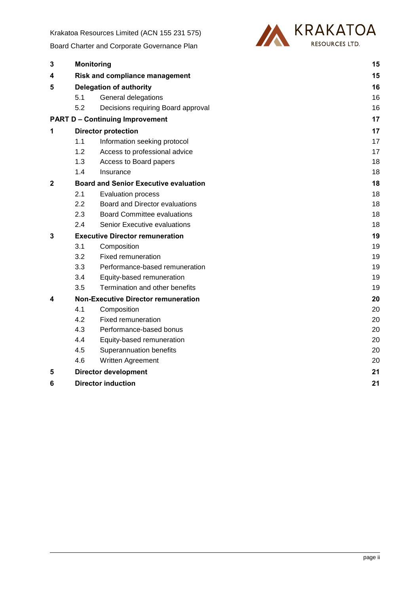Krakatoa Resources Limited (ACN 155 231 575)

[Board Charter and Corporate Governance Plan](#page-0-0)



| 3            |     | <b>Monitoring</b>                            |    |  |
|--------------|-----|----------------------------------------------|----|--|
| 4            |     | <b>Risk and compliance management</b>        | 15 |  |
| 5            |     | <b>Delegation of authority</b>               |    |  |
|              | 5.1 | General delegations                          | 16 |  |
|              | 5.2 | Decisions requiring Board approval           | 16 |  |
|              |     | <b>PART D - Continuing Improvement</b>       | 17 |  |
| 1            |     | <b>Director protection</b>                   |    |  |
|              | 1.1 | Information seeking protocol                 | 17 |  |
|              | 1.2 | Access to professional advice                | 17 |  |
|              | 1.3 | Access to Board papers                       | 18 |  |
|              | 1.4 | Insurance                                    | 18 |  |
| $\mathbf{2}$ |     | <b>Board and Senior Executive evaluation</b> | 18 |  |
|              | 2.1 | <b>Evaluation process</b>                    | 18 |  |
|              | 2.2 | Board and Director evaluations               | 18 |  |
|              | 2.3 | <b>Board Committee evaluations</b>           | 18 |  |
|              | 2.4 | Senior Executive evaluations                 | 18 |  |
| 3            |     | <b>Executive Director remuneration</b>       |    |  |
|              | 3.1 | Composition                                  | 19 |  |
|              | 3.2 | <b>Fixed remuneration</b>                    | 19 |  |
|              | 3.3 | Performance-based remuneration               | 19 |  |
|              | 3.4 | Equity-based remuneration                    | 19 |  |
|              | 3.5 | Termination and other benefits               | 19 |  |
| 4            |     | <b>Non-Executive Director remuneration</b>   |    |  |
|              | 4.1 | Composition                                  | 20 |  |
|              | 4.2 | <b>Fixed remuneration</b>                    | 20 |  |
|              | 4.3 | Performance-based bonus                      | 20 |  |
|              | 4.4 | Equity-based remuneration                    | 20 |  |
|              | 4.5 | Superannuation benefits                      | 20 |  |
|              | 4.6 | Written Agreement                            | 20 |  |
| 5            |     | <b>Director development</b>                  | 21 |  |
| 6            |     | <b>Director induction</b>                    | 21 |  |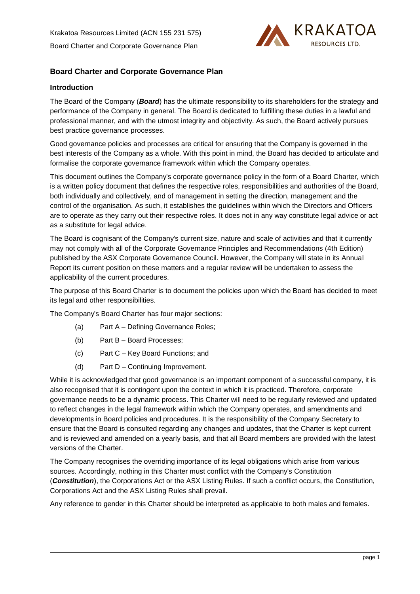

## <span id="page-3-0"></span>**Introduction**

The Board of the Company (*Board*) has the ultimate responsibility to its shareholders for the strategy and performance of the Company in general. The Board is dedicated to fulfilling these duties in a lawful and professional manner, and with the utmost integrity and objectivity. As such, the Board actively pursues best practice governance processes.

Good governance policies and processes are critical for ensuring that the Company is governed in the best interests of the Company as a whole. With this point in mind, the Board has decided to articulate and formalise the corporate governance framework within which the Company operates.

This document outlines the Company's corporate governance policy in the form of a Board Charter, which is a written policy document that defines the respective roles, responsibilities and authorities of the Board, both individually and collectively, and of management in setting the direction, management and the control of the organisation. As such, it establishes the guidelines within which the Directors and Officers are to operate as they carry out their respective roles. It does not in any way constitute legal advice or act as a substitute for legal advice.

The Board is cognisant of the Company's current size, nature and scale of activities and that it currently may not comply with all of the Corporate Governance Principles and Recommendations (4th Edition) published by the ASX Corporate Governance Council. However, the Company will state in its Annual Report its current position on these matters and a regular review will be undertaken to assess the applicability of the current procedures.

The purpose of this Board Charter is to document the policies upon which the Board has decided to meet its legal and other responsibilities.

The Company's Board Charter has four major sections:

- (a) Part A Defining Governance Roles;
- (b) Part B Board Processes;
- (c) Part C Key Board Functions; and
- (d) Part D Continuing Improvement.

While it is acknowledged that good governance is an important component of a successful company, it is also recognised that it is contingent upon the context in which it is practiced. Therefore, corporate governance needs to be a dynamic process. This Charter will need to be regularly reviewed and updated to reflect changes in the legal framework within which the Company operates, and amendments and developments in Board policies and procedures. It is the responsibility of the Company Secretary to ensure that the Board is consulted regarding any changes and updates, that the Charter is kept current and is reviewed and amended on a yearly basis, and that all Board members are provided with the latest versions of the Charter.

The Company recognises the overriding importance of its legal obligations which arise from various sources. Accordingly, nothing in this Charter must conflict with the Company's Constitution (*Constitution*), the Corporations Act or the ASX Listing Rules. If such a conflict occurs, the Constitution, Corporations Act and the ASX Listing Rules shall prevail.

Any reference to gender in this Charter should be interpreted as applicable to both males and females.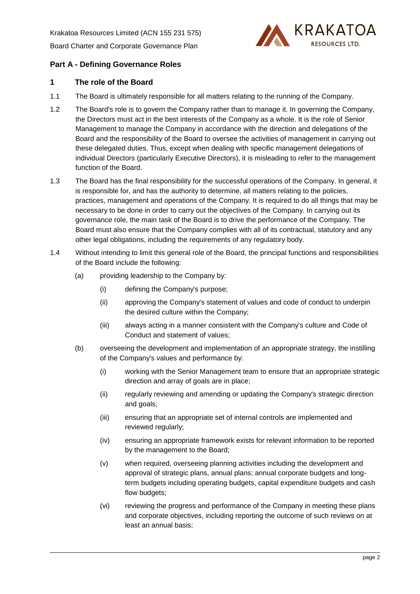

# <span id="page-4-0"></span>**Part A - Defining Governance Roles**

# <span id="page-4-1"></span>**1 The role of the Board**

- 1.1 The Board is ultimately responsible for all matters relating to the running of the Company.
- 1.2 The Board's role is to govern the Company rather than to manage it. In governing the Company, the Directors must act in the best interests of the Company as a whole. It is the role of Senior Management to manage the Company in accordance with the direction and delegations of the Board and the responsibility of the Board to oversee the activities of management in carrying out these delegated duties. Thus, except when dealing with specific management delegations of individual Directors (particularly Executive Directors), it is misleading to refer to the management function of the Board.
- 1.3 The Board has the final responsibility for the successful operations of the Company. In general, it is responsible for, and has the authority to determine, all matters relating to the policies, practices, management and operations of the Company. It is required to do all things that may be necessary to be done in order to carry out the objectives of the Company. In carrying out its governance role, the main task of the Board is to drive the performance of the Company. The Board must also ensure that the Company complies with all of its contractual, statutory and any other legal obligations, including the requirements of any regulatory body.
- 1.4 Without intending to limit this general role of the Board, the principal functions and responsibilities of the Board include the following:
	- (a) providing leadership to the Company by:
		- (i) defining the Company's purpose;
		- (ii) approving the Company's statement of values and code of conduct to underpin the desired culture within the Company;
		- (iii) always acting in a manner consistent with the Company's culture and Code of Conduct and statement of values;
	- (b) overseeing the development and implementation of an appropriate strategy, the instilling of the Company's values and performance by:
		- (i) working with the Senior Management team to ensure that an appropriate strategic direction and array of goals are in place;
		- (ii) regularly reviewing and amending or updating the Company's strategic direction and goals;
		- (iii) ensuring that an appropriate set of internal controls are implemented and reviewed regularly;
		- (iv) ensuring an appropriate framework exists for relevant information to be reported by the management to the Board;
		- (v) when required, overseeing planning activities including the development and approval of strategic plans, annual plans; annual corporate budgets and longterm budgets including operating budgets, capital expenditure budgets and cash flow budgets;
		- (vi) reviewing the progress and performance of the Company in meeting these plans and corporate objectives, including reporting the outcome of such reviews on at least an annual basis;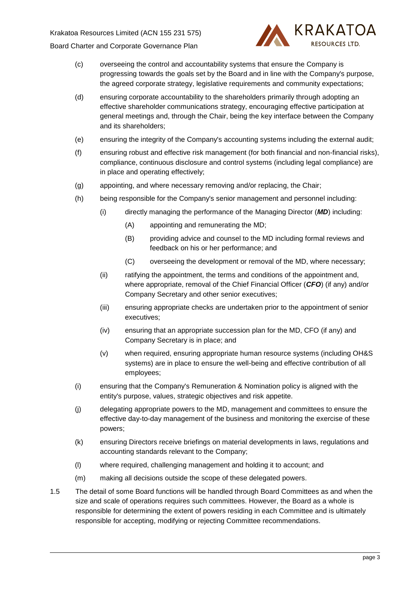

- (c) overseeing the control and accountability systems that ensure the Company is progressing towards the goals set by the Board and in line with the Company's purpose, the agreed corporate strategy, legislative requirements and community expectations;
- (d) ensuring corporate accountability to the shareholders primarily through adopting an effective shareholder communications strategy, encouraging effective participation at general meetings and, through the Chair, being the key interface between the Company and its shareholders;
- (e) ensuring the integrity of the Company's accounting systems including the external audit;
- (f) ensuring robust and effective risk management (for both financial and non-financial risks), compliance, continuous disclosure and control systems (including legal compliance) are in place and operating effectively;
- (g) appointing, and where necessary removing and/or replacing, the Chair;
- (h) being responsible for the Company's senior management and personnel including:
	- (i) directly managing the performance of the Managing Director (*MD*) including:
		- (A) appointing and remunerating the MD;
		- (B) providing advice and counsel to the MD including formal reviews and feedback on his or her performance; and
		- (C) overseeing the development or removal of the MD, where necessary;
	- (ii) ratifying the appointment, the terms and conditions of the appointment and, where appropriate, removal of the Chief Financial Officer (*CFO*) (if any) and/or Company Secretary and other senior executives;
	- (iii) ensuring appropriate checks are undertaken prior to the appointment of senior executives;
	- (iv) ensuring that an appropriate succession plan for the MD, CFO (if any) and Company Secretary is in place; and
	- (v) when required, ensuring appropriate human resource systems (including OH&S systems) are in place to ensure the well-being and effective contribution of all employees;
- (i) ensuring that the Company's Remuneration & Nomination policy is aligned with the entity's purpose, values, strategic objectives and risk appetite.
- (j) delegating appropriate powers to the MD, management and committees to ensure the effective day-to-day management of the business and monitoring the exercise of these powers;
- (k) ensuring Directors receive briefings on material developments in laws, regulations and accounting standards relevant to the Company;
- (l) where required, challenging management and holding it to account; and
- (m) making all decisions outside the scope of these delegated powers.
- 1.5 The detail of some Board functions will be handled through Board Committees as and when the size and scale of operations requires such committees. However, the Board as a whole is responsible for determining the extent of powers residing in each Committee and is ultimately responsible for accepting, modifying or rejecting Committee recommendations.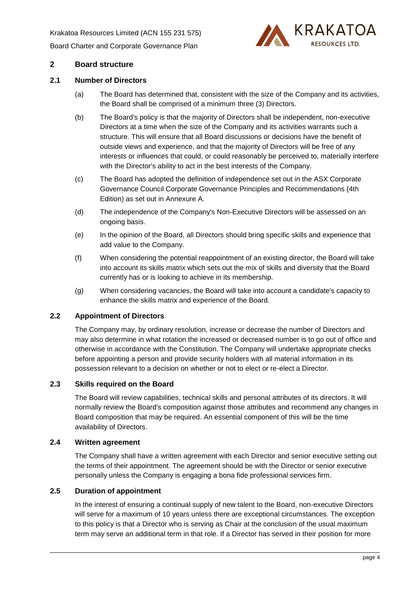Krakatoa Resources Limited (ACN 155 231 575) [Board Charter and Corporate Governance Plan](#page-0-1)



# <span id="page-6-0"></span>**2 Board structure**

### <span id="page-6-1"></span>**2.1 Number of Directors**

- (a) The Board has determined that, consistent with the size of the Company and its activities, the Board shall be comprised of a minimum three (3) Directors.
- (b) The Board's policy is that the majority of Directors shall be independent, non-executive Directors at a time when the size of the Company and its activities warrants such a structure. This will ensure that all Board discussions or decisions have the benefit of outside views and experience, and that the majority of Directors will be free of any interests or influences that could, or could reasonably be perceived to, materially interfere with the Director's ability to act in the best interests of the Company.
- (c) The Board has adopted the definition of independence set out in the ASX Corporate Governance Council Corporate Governance Principles and Recommendations (4th Edition) as set out in Annexure A.
- (d) The independence of the Company's Non-Executive Directors will be assessed on an ongoing basis.
- (e) In the opinion of the Board, all Directors should bring specific skills and experience that add value to the Company.
- (f) When considering the potential reappointment of an existing director, the Board will take into account its skills matrix which sets out the mix of skills and diversity that the Board currently has or is looking to achieve in its membership.
- (g) When considering vacancies, the Board will take into account a candidate's capacity to enhance the skills matrix and experience of the Board.

## <span id="page-6-2"></span>**2.2 Appointment of Directors**

The Company may, by ordinary resolution, increase or decrease the number of Directors and may also determine in what rotation the increased or decreased number is to go out of office and otherwise in accordance with the Constitution. The Company will undertake appropriate checks before appointing a person and provide security holders with all material information in its possession relevant to a decision on whether or not to elect or re-elect a Director.

#### <span id="page-6-3"></span>**2.3 Skills required on the Board**

The Board will review capabilities, technical skills and personal attributes of its directors. It will normally review the Board's composition against those attributes and recommend any changes in Board composition that may be required. An essential component of this will be the time availability of Directors.

#### <span id="page-6-4"></span>**2.4 Written agreement**

The Company shall have a written agreement with each Director and senior executive setting out the terms of their appointment. The agreement should be with the Director or senior executive personally unless the Company is engaging a bona fide professional services firm.

### <span id="page-6-6"></span><span id="page-6-5"></span>**2.5 Duration of appointment**

In the interest of ensuring a continual supply of new talent to the Board, non-executive Directors will serve for a maximum of 10 years unless there are exceptional circumstances. The exception to this policy is that a Director who is serving as Chair at the conclusion of the usual maximum term may serve an additional term in that role. If a Director has served in their position for more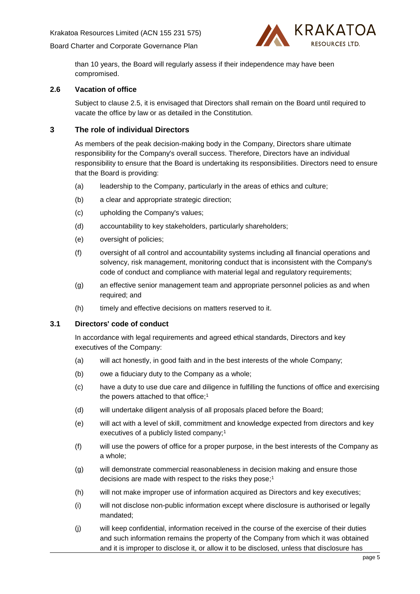

than 10 years, the Board will regularly assess if their independence may have been compromised.

#### <span id="page-7-0"></span>**2.6 Vacation of office**

Subject to clause [2.5,](#page-6-6) it is envisaged that Directors shall remain on the Board until required to vacate the office by law or as detailed in the Constitution.

## <span id="page-7-1"></span>**3 The role of individual Directors**

As members of the peak decision-making body in the Company, Directors share ultimate responsibility for the Company's overall success. Therefore, Directors have an individual responsibility to ensure that the Board is undertaking its responsibilities. Directors need to ensure that the Board is providing:

- (a) leadership to the Company, particularly in the areas of ethics and culture;
- (b) a clear and appropriate strategic direction;
- (c) upholding the Company's values;
- (d) accountability to key stakeholders, particularly shareholders;
- (e) oversight of policies;
- (f) oversight of all control and accountability systems including all financial operations and solvency, risk management, monitoring conduct that is inconsistent with the Company's code of conduct and compliance with material legal and regulatory requirements;
- (g) an effective senior management team and appropriate personnel policies as and when required; and
- (h) timely and effective decisions on matters reserved to it.

### <span id="page-7-2"></span>**3.1 Directors' code of conduct**

In accordance with legal requirements and agreed ethical standards, Directors and key executives of the Company:

- (a) will act honestly, in good faith and in the best interests of the whole Company;
- (b) owe a fiduciary duty to the Company as a whole;
- (c) have a duty to use due care and diligence in fulfilling the functions of office and exercising the powers attached to that office;<sup>1</sup>
- (d) will undertake diligent analysis of all proposals placed before the Board;
- (e) will act with a level of skill, commitment and knowledge expected from directors and key executives of a publicly listed company;<sup>1</sup>
- (f) will use the powers of office for a proper purpose, in the best interests of the Company as a whole;
- (g) will demonstrate commercial reasonableness in decision making and ensure those decisions are made with respect to the risks they pose; 1
- (h) will not make improper use of information acquired as Directors and key executives;
- (i) will not disclose non-public information except where disclosure is authorised or legally mandated;
- (j) will keep confidential, information received in the course of the exercise of their duties and such information remains the property of the Company from which it was obtained and it is improper to disclose it, or allow it to be disclosed, unless that disclosure has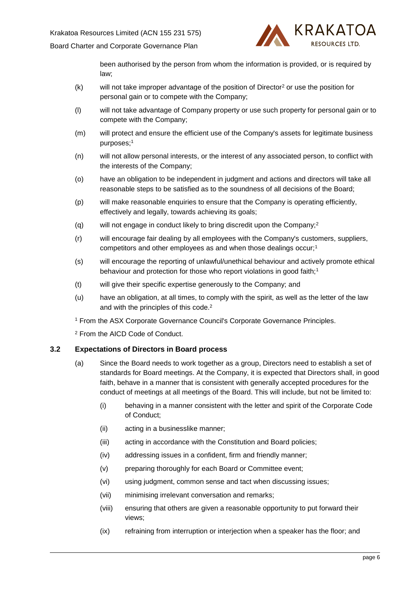

been authorised by the person from whom the information is provided, or is required by law;

- (k) will not take improper advantage of the position of Director<sup>2</sup> or use the position for personal gain or to compete with the Company;
- (l) will not take advantage of Company property or use such property for personal gain or to compete with the Company;
- (m) will protect and ensure the efficient use of the Company's assets for legitimate business purposes;<sup>1</sup>
- (n) will not allow personal interests, or the interest of any associated person, to conflict with the interests of the Company;
- (o) have an obligation to be independent in judgment and actions and directors will take all reasonable steps to be satisfied as to the soundness of all decisions of the Board;
- (p) will make reasonable enquiries to ensure that the Company is operating efficiently, effectively and legally, towards achieving its goals;
- (q) will not engage in conduct likely to bring discredit upon the Company;<sup>2</sup>
- (r) will encourage fair dealing by all employees with the Company's customers, suppliers, competitors and other employees as and when those dealings occur;<sup>1</sup>
- (s) will encourage the reporting of unlawful/unethical behaviour and actively promote ethical behaviour and protection for those who report violations in good faith;<sup>1</sup>
- (t) will give their specific expertise generously to the Company; and
- (u) have an obligation, at all times, to comply with the spirit, as well as the letter of the law and with the principles of this code. 2
- <sup>1</sup> From the ASX Corporate Governance Council's Corporate Governance Principles.

<sup>2</sup> From the AICD Code of Conduct.

# <span id="page-8-0"></span>**3.2 Expectations of Directors in Board process**

- (a) Since the Board needs to work together as a group, Directors need to establish a set of standards for Board meetings. At the Company, it is expected that Directors shall, in good faith, behave in a manner that is consistent with generally accepted procedures for the conduct of meetings at all meetings of the Board. This will include, but not be limited to:
	- (i) behaving in a manner consistent with the letter and spirit of the Corporate Code of Conduct;
	- (ii) acting in a businesslike manner;
	- (iii) acting in accordance with the Constitution and Board policies;
	- (iv) addressing issues in a confident, firm and friendly manner;
	- (v) preparing thoroughly for each Board or Committee event;
	- (vi) using judgment, common sense and tact when discussing issues;
	- (vii) minimising irrelevant conversation and remarks;
	- (viii) ensuring that others are given a reasonable opportunity to put forward their views;
	- (ix) refraining from interruption or interjection when a speaker has the floor; and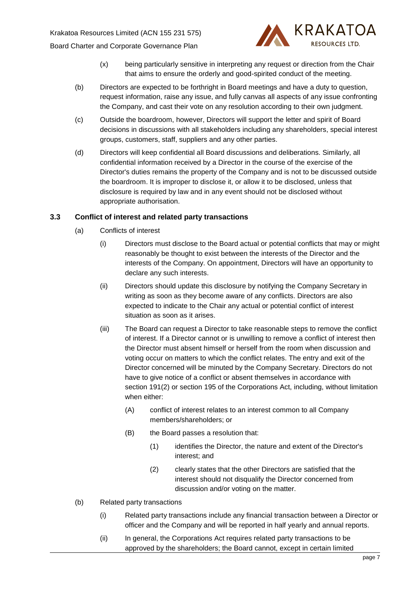

- (x) being particularly sensitive in interpreting any request or direction from the Chair that aims to ensure the orderly and good-spirited conduct of the meeting.
- (b) Directors are expected to be forthright in Board meetings and have a duty to question, request information, raise any issue, and fully canvas all aspects of any issue confronting the Company, and cast their vote on any resolution according to their own judgment.
- (c) Outside the boardroom, however, Directors will support the letter and spirit of Board decisions in discussions with all stakeholders including any shareholders, special interest groups, customers, staff, suppliers and any other parties.
- (d) Directors will keep confidential all Board discussions and deliberations. Similarly, all confidential information received by a Director in the course of the exercise of the Director's duties remains the property of the Company and is not to be discussed outside the boardroom. It is improper to disclose it, or allow it to be disclosed, unless that disclosure is required by law and in any event should not be disclosed without appropriate authorisation.

# <span id="page-9-0"></span>**3.3 Conflict of interest and related party transactions**

- (a) Conflicts of interest
	- (i) Directors must disclose to the Board actual or potential conflicts that may or might reasonably be thought to exist between the interests of the Director and the interests of the Company. On appointment, Directors will have an opportunity to declare any such interests.
	- (ii) Directors should update this disclosure by notifying the Company Secretary in writing as soon as they become aware of any conflicts. Directors are also expected to indicate to the Chair any actual or potential conflict of interest situation as soon as it arises.
	- (iii) The Board can request a Director to take reasonable steps to remove the conflict of interest. If a Director cannot or is unwilling to remove a conflict of interest then the Director must absent himself or herself from the room when discussion and voting occur on matters to which the conflict relates. The entry and exit of the Director concerned will be minuted by the Company Secretary. Directors do not have to give notice of a conflict or absent themselves in accordance with section 191(2) or section 195 of the Corporations Act, including, without limitation when either:
		- (A) conflict of interest relates to an interest common to all Company members/shareholders; or
		- (B) the Board passes a resolution that:
			- (1) identifies the Director, the nature and extent of the Director's interest; and
			- (2) clearly states that the other Directors are satisfied that the interest should not disqualify the Director concerned from discussion and/or voting on the matter.
- (b) Related party transactions
	- (i) Related party transactions include any financial transaction between a Director or officer and the Company and will be reported in half yearly and annual reports.
	- (ii) In general, the Corporations Act requires related party transactions to be approved by the shareholders; the Board cannot, except in certain limited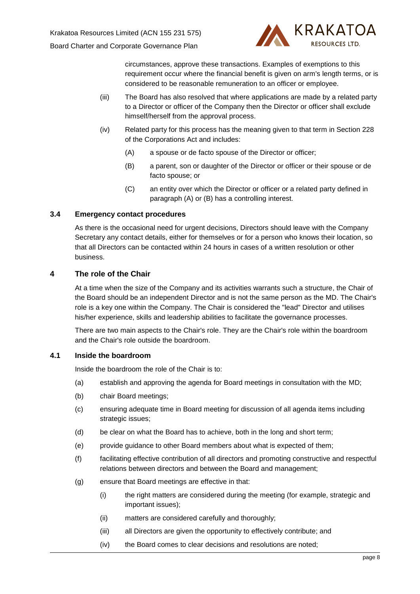

circumstances, approve these transactions. Examples of exemptions to this requirement occur where the financial benefit is given on arm's length terms, or is considered to be reasonable remuneration to an officer or employee.

- (iii) The Board has also resolved that where applications are made by a related party to a Director or officer of the Company then the Director or officer shall exclude himself/herself from the approval process.
- <span id="page-10-3"></span>(iv) Related party for this process has the meaning given to that term in Section 228 of the Corporations Act and includes:
	- (A) a spouse or de facto spouse of the Director or officer;
	- (B) a parent, son or daughter of the Director or officer or their spouse or de facto spouse; or
	- (C) an entity over which the Director or officer or a related party defined in paragraph [\(A\)](#page-10-3) or [\(B\)](#page-10-4) has a controlling interest.

# <span id="page-10-4"></span><span id="page-10-0"></span>**3.4 Emergency contact procedures**

As there is the occasional need for urgent decisions, Directors should leave with the Company Secretary any contact details, either for themselves or for a person who knows their location, so that all Directors can be contacted within 24 hours in cases of a written resolution or other business.

# <span id="page-10-1"></span>**4 The role of the Chair**

At a time when the size of the Company and its activities warrants such a structure, the Chair of the Board should be an independent Director and is not the same person as the MD. The Chair's role is a key one within the Company. The Chair is considered the "lead" Director and utilises his/her experience, skills and leadership abilities to facilitate the governance processes.

There are two main aspects to the Chair's role. They are the Chair's role within the boardroom and the Chair's role outside the boardroom.

# <span id="page-10-2"></span>**4.1 Inside the boardroom**

Inside the boardroom the role of the Chair is to:

- (a) establish and approving the agenda for Board meetings in consultation with the MD;
- (b) chair Board meetings;
- (c) ensuring adequate time in Board meeting for discussion of all agenda items including strategic issues;
- (d) be clear on what the Board has to achieve, both in the long and short term;
- (e) provide guidance to other Board members about what is expected of them;
- (f) facilitating effective contribution of all directors and promoting constructive and respectful relations between directors and between the Board and management;
- (g) ensure that Board meetings are effective in that:
	- (i) the right matters are considered during the meeting (for example, strategic and important issues);
	- (ii) matters are considered carefully and thoroughly;
	- (iii) all Directors are given the opportunity to effectively contribute; and
	- (iv) the Board comes to clear decisions and resolutions are noted;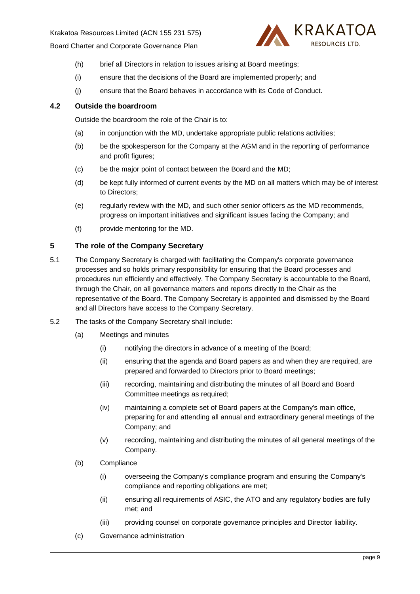

- (h) brief all Directors in relation to issues arising at Board meetings;
- (i) ensure that the decisions of the Board are implemented properly; and
- (j) ensure that the Board behaves in accordance with its Code of Conduct.

## <span id="page-11-0"></span>**4.2 Outside the boardroom**

Outside the boardroom the role of the Chair is to:

- (a) in conjunction with the MD, undertake appropriate public relations activities;
- (b) be the spokesperson for the Company at the AGM and in the reporting of performance and profit figures;
- (c) be the major point of contact between the Board and the MD;
- (d) be kept fully informed of current events by the MD on all matters which may be of interest to Directors;
- (e) regularly review with the MD, and such other senior officers as the MD recommends, progress on important initiatives and significant issues facing the Company; and
- (f) provide mentoring for the MD.

# <span id="page-11-1"></span>**5 The role of the Company Secretary**

- 5.1 The Company Secretary is charged with facilitating the Company's corporate governance processes and so holds primary responsibility for ensuring that the Board processes and procedures run efficiently and effectively. The Company Secretary is accountable to the Board, through the Chair, on all governance matters and reports directly to the Chair as the representative of the Board. The Company Secretary is appointed and dismissed by the Board and all Directors have access to the Company Secretary.
- 5.2 The tasks of the Company Secretary shall include:
	- (a) Meetings and minutes
		- (i) notifying the directors in advance of a meeting of the Board;
		- (ii) ensuring that the agenda and Board papers as and when they are required, are prepared and forwarded to Directors prior to Board meetings;
		- (iii) recording, maintaining and distributing the minutes of all Board and Board Committee meetings as required;
		- (iv) maintaining a complete set of Board papers at the Company's main office, preparing for and attending all annual and extraordinary general meetings of the Company; and
		- (v) recording, maintaining and distributing the minutes of all general meetings of the Company.
	- (b) Compliance
		- (i) overseeing the Company's compliance program and ensuring the Company's compliance and reporting obligations are met;
		- (ii) ensuring all requirements of ASIC, the ATO and any regulatory bodies are fully met; and
		- (iii) providing counsel on corporate governance principles and Director liability.
	- (c) Governance administration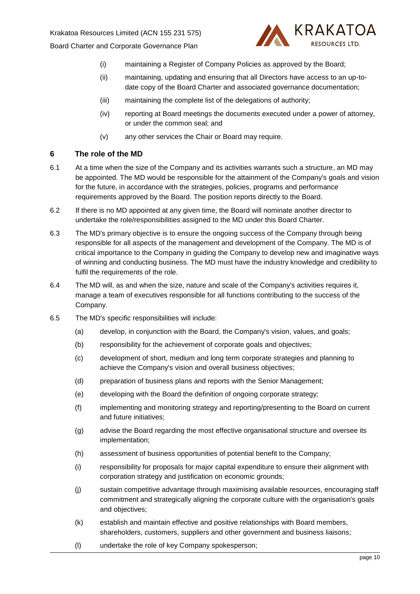

- (i) maintaining a Register of Company Policies as approved by the Board;
- (ii) maintaining, updating and ensuring that all Directors have access to an up-todate copy of the Board Charter and associated governance documentation;
- (iii) maintaining the complete list of the delegations of authority;
- (iv) reporting at Board meetings the documents executed under a power of attorney, or under the common seal; and
- (v) any other services the Chair or Board may require.

# <span id="page-12-0"></span>**6 The role of the MD**

- 6.1 At a time when the size of the Company and its activities warrants such a structure, an MD may be appointed. The MD would be responsible for the attainment of the Company's goals and vision for the future, in accordance with the strategies, policies, programs and performance requirements approved by the Board. The position reports directly to the Board.
- 6.2 If there is no MD appointed at any given time, the Board will nominate another director to undertake the role/responsibilities assigned to the MD under this Board Charter.
- 6.3 The MD's primary objective is to ensure the ongoing success of the Company through being responsible for all aspects of the management and development of the Company. The MD is of critical importance to the Company in guiding the Company to develop new and imaginative ways of winning and conducting business. The MD must have the industry knowledge and credibility to fulfil the requirements of the role.
- 6.4 The MD will, as and when the size, nature and scale of the Company's activities requires it, manage a team of executives responsible for all functions contributing to the success of the Company.
- 6.5 The MD's specific responsibilities will include:
	- (a) develop, in conjunction with the Board, the Company's vision, values, and goals;
	- (b) responsibility for the achievement of corporate goals and objectives;
	- (c) development of short, medium and long term corporate strategies and planning to achieve the Company's vision and overall business objectives;
	- (d) preparation of business plans and reports with the Senior Management;
	- (e) developing with the Board the definition of ongoing corporate strategy;
	- (f) implementing and monitoring strategy and reporting/presenting to the Board on current and future initiatives;
	- (g) advise the Board regarding the most effective organisational structure and oversee its implementation;
	- (h) assessment of business opportunities of potential benefit to the Company;
	- (i) responsibility for proposals for major capital expenditure to ensure their alignment with corporation strategy and justification on economic grounds;
	- (j) sustain competitive advantage through maximising available resources, encouraging staff commitment and strategically aligning the corporate culture with the organisation's goals and objectives;
	- (k) establish and maintain effective and positive relationships with Board members, shareholders, customers, suppliers and other government and business liaisons;
	- (l) undertake the role of key Company spokesperson;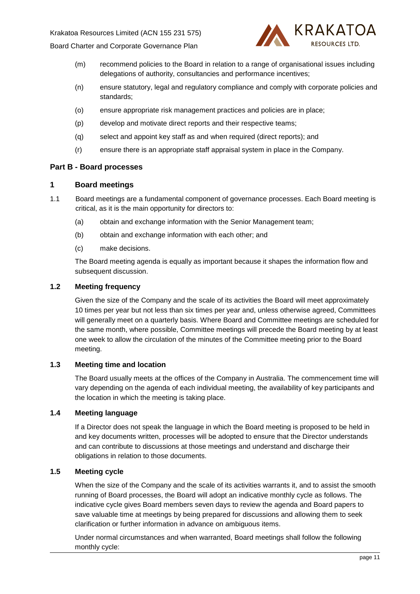

- (m) recommend policies to the Board in relation to a range of organisational issues including delegations of authority, consultancies and performance incentives;
- (n) ensure statutory, legal and regulatory compliance and comply with corporate policies and standards;
- (o) ensure appropriate risk management practices and policies are in place;
- (p) develop and motivate direct reports and their respective teams;
- (q) select and appoint key staff as and when required (direct reports); and
- (r) ensure there is an appropriate staff appraisal system in place in the Company.

### <span id="page-13-0"></span>**Part B - Board processes**

#### <span id="page-13-1"></span>**1 Board meetings**

- 1.1 Board meetings are a fundamental component of governance processes. Each Board meeting is critical, as it is the main opportunity for directors to:
	- (a) obtain and exchange information with the Senior Management team;
	- (b) obtain and exchange information with each other; and
	- (c) make decisions.

The Board meeting agenda is equally as important because it shapes the information flow and subsequent discussion.

### <span id="page-13-2"></span>**1.2 Meeting frequency**

Given the size of the Company and the scale of its activities the Board will meet approximately 10 times per year but not less than six times per year and, unless otherwise agreed, Committees will generally meet on a quarterly basis. Where Board and Committee meetings are scheduled for the same month, where possible, Committee meetings will precede the Board meeting by at least one week to allow the circulation of the minutes of the Committee meeting prior to the Board meeting.

### <span id="page-13-3"></span>**1.3 Meeting time and location**

The Board usually meets at the offices of the Company in Australia. The commencement time will vary depending on the agenda of each individual meeting, the availability of key participants and the location in which the meeting is taking place.

## <span id="page-13-4"></span>**1.4 Meeting language**

If a Director does not speak the language in which the Board meeting is proposed to be held in and key documents written, processes will be adopted to ensure that the Director understands and can contribute to discussions at those meetings and understand and discharge their obligations in relation to those documents.

## <span id="page-13-5"></span>**1.5 Meeting cycle**

When the size of the Company and the scale of its activities warrants it, and to assist the smooth running of Board processes, the Board will adopt an indicative monthly cycle as follows. The indicative cycle gives Board members seven days to review the agenda and Board papers to save valuable time at meetings by being prepared for discussions and allowing them to seek clarification or further information in advance on ambiguous items.

Under normal circumstances and when warranted, Board meetings shall follow the following monthly cycle: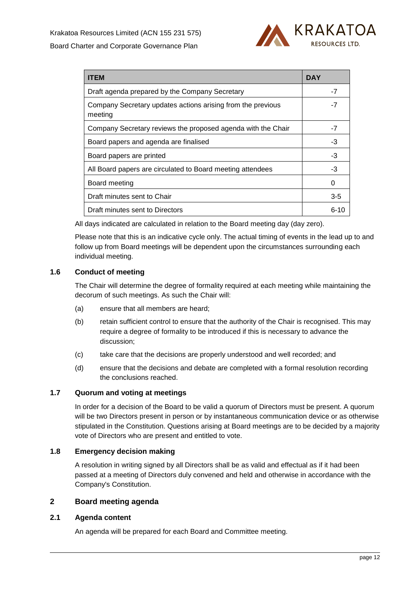

| <b>ITEM</b>                                                            | <b>DAY</b> |  |
|------------------------------------------------------------------------|------------|--|
| Draft agenda prepared by the Company Secretary                         | $-7$       |  |
| Company Secretary updates actions arising from the previous<br>meeting | -7         |  |
| Company Secretary reviews the proposed agenda with the Chair           | -7         |  |
| Board papers and agenda are finalised                                  | -3         |  |
| Board papers are printed                                               | -3         |  |
| All Board papers are circulated to Board meeting attendees             | -3         |  |
| Board meeting                                                          | 0          |  |
| Draft minutes sent to Chair                                            | $3-5$      |  |
| Draft minutes sent to Directors                                        | 6-10       |  |

All days indicated are calculated in relation to the Board meeting day (day zero).

Please note that this is an indicative cycle only. The actual timing of events in the lead up to and follow up from Board meetings will be dependent upon the circumstances surrounding each individual meeting.

### <span id="page-14-0"></span>**1.6 Conduct of meeting**

The Chair will determine the degree of formality required at each meeting while maintaining the decorum of such meetings. As such the Chair will:

- (a) ensure that all members are heard;
- (b) retain sufficient control to ensure that the authority of the Chair is recognised. This may require a degree of formality to be introduced if this is necessary to advance the discussion;
- (c) take care that the decisions are properly understood and well recorded; and
- (d) ensure that the decisions and debate are completed with a formal resolution recording the conclusions reached.

## <span id="page-14-1"></span>**1.7 Quorum and voting at meetings**

In order for a decision of the Board to be valid a quorum of Directors must be present. A quorum will be two Directors present in person or by instantaneous communication device or as otherwise stipulated in the Constitution. Questions arising at Board meetings are to be decided by a majority vote of Directors who are present and entitled to vote.

### <span id="page-14-2"></span>**1.8 Emergency decision making**

A resolution in writing signed by all Directors shall be as valid and effectual as if it had been passed at a meeting of Directors duly convened and held and otherwise in accordance with the Company's Constitution.

## <span id="page-14-3"></span>**2 Board meeting agenda**

### <span id="page-14-4"></span>**2.1 Agenda content**

An agenda will be prepared for each Board and Committee meeting.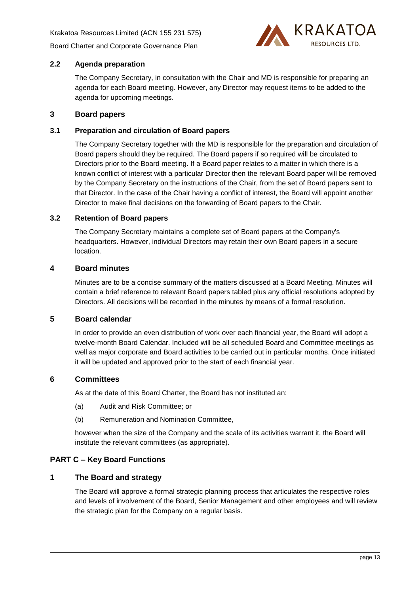

## <span id="page-15-0"></span>**2.2 Agenda preparation**

The Company Secretary, in consultation with the Chair and MD is responsible for preparing an agenda for each Board meeting. However, any Director may request items to be added to the agenda for upcoming meetings.

## <span id="page-15-1"></span>**3 Board papers**

## <span id="page-15-2"></span>**3.1 Preparation and circulation of Board papers**

The Company Secretary together with the MD is responsible for the preparation and circulation of Board papers should they be required. The Board papers if so required will be circulated to Directors prior to the Board meeting. If a Board paper relates to a matter in which there is a known conflict of interest with a particular Director then the relevant Board paper will be removed by the Company Secretary on the instructions of the Chair, from the set of Board papers sent to that Director. In the case of the Chair having a conflict of interest, the Board will appoint another Director to make final decisions on the forwarding of Board papers to the Chair.

### <span id="page-15-3"></span>**3.2 Retention of Board papers**

The Company Secretary maintains a complete set of Board papers at the Company's headquarters. However, individual Directors may retain their own Board papers in a secure location.

## <span id="page-15-4"></span>**4 Board minutes**

Minutes are to be a concise summary of the matters discussed at a Board Meeting. Minutes will contain a brief reference to relevant Board papers tabled plus any official resolutions adopted by Directors. All decisions will be recorded in the minutes by means of a formal resolution.

### <span id="page-15-5"></span>**5 Board calendar**

In order to provide an even distribution of work over each financial year, the Board will adopt a twelve-month Board Calendar. Included will be all scheduled Board and Committee meetings as well as major corporate and Board activities to be carried out in particular months. Once initiated it will be updated and approved prior to the start of each financial year.

### <span id="page-15-6"></span>**6 Committees**

As at the date of this Board Charter, the Board has not instituted an:

- (a) Audit and Risk Committee; or
- (b) Remuneration and Nomination Committee,

however when the size of the Company and the scale of its activities warrant it, the Board will institute the relevant committees (as appropriate).

# <span id="page-15-7"></span>**PART C – Key Board Functions**

### <span id="page-15-8"></span>**1 The Board and strategy**

The Board will approve a formal strategic planning process that articulates the respective roles and levels of involvement of the Board, Senior Management and other employees and will review the strategic plan for the Company on a regular basis.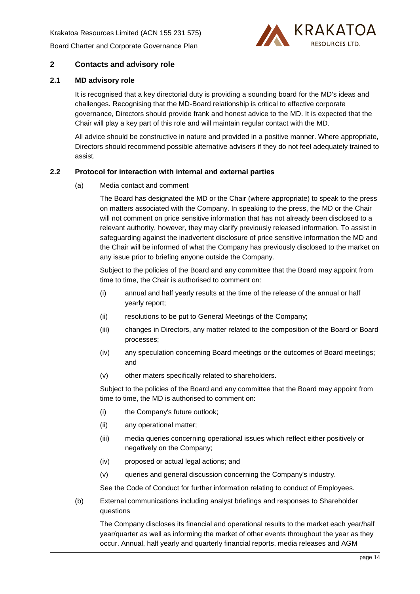Krakatoa Resources Limited (ACN 155 231 575)

[Board Charter and Corporate Governance Plan](#page-0-1)



# <span id="page-16-0"></span>**2 Contacts and advisory role**

## <span id="page-16-1"></span>**2.1 MD advisory role**

It is recognised that a key directorial duty is providing a sounding board for the MD's ideas and challenges. Recognising that the MD-Board relationship is critical to effective corporate governance, Directors should provide frank and honest advice to the MD. It is expected that the Chair will play a key part of this role and will maintain regular contact with the MD.

All advice should be constructive in nature and provided in a positive manner. Where appropriate, Directors should recommend possible alternative advisers if they do not feel adequately trained to assist.

### <span id="page-16-2"></span>**2.2 Protocol for interaction with internal and external parties**

(a) Media contact and comment

The Board has designated the MD or the Chair (where appropriate) to speak to the press on matters associated with the Company. In speaking to the press, the MD or the Chair will not comment on price sensitive information that has not already been disclosed to a relevant authority, however, they may clarify previously released information. To assist in safeguarding against the inadvertent disclosure of price sensitive information the MD and the Chair will be informed of what the Company has previously disclosed to the market on any issue prior to briefing anyone outside the Company.

Subject to the policies of the Board and any committee that the Board may appoint from time to time, the Chair is authorised to comment on:

- (i) annual and half yearly results at the time of the release of the annual or half yearly report;
- (ii) resolutions to be put to General Meetings of the Company;
- (iii) changes in Directors, any matter related to the composition of the Board or Board processes;
- (iv) any speculation concerning Board meetings or the outcomes of Board meetings; and
- (v) other maters specifically related to shareholders.

Subject to the policies of the Board and any committee that the Board may appoint from time to time, the MD is authorised to comment on:

- (i) the Company's future outlook;
- (ii) any operational matter;
- (iii) media queries concerning operational issues which reflect either positively or negatively on the Company;
- (iv) proposed or actual legal actions; and
- (v) queries and general discussion concerning the Company's industry.

See the Code of Conduct for further information relating to conduct of Employees.

(b) External communications including analyst briefings and responses to Shareholder questions

The Company discloses its financial and operational results to the market each year/half year/quarter as well as informing the market of other events throughout the year as they occur. Annual, half yearly and quarterly financial reports, media releases and AGM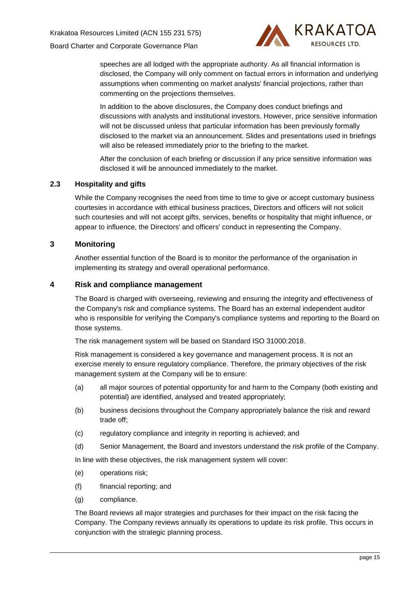

speeches are all lodged with the appropriate authority. As all financial information is disclosed, the Company will only comment on factual errors in information and underlying assumptions when commenting on market analysts' financial projections, rather than commenting on the projections themselves.

In addition to the above disclosures, the Company does conduct briefings and discussions with analysts and institutional investors. However, price sensitive information will not be discussed unless that particular information has been previously formally disclosed to the market via an announcement. Slides and presentations used in briefings will also be released immediately prior to the briefing to the market.

After the conclusion of each briefing or discussion if any price sensitive information was disclosed it will be announced immediately to the market.

## <span id="page-17-0"></span>**2.3 Hospitality and gifts**

While the Company recognises the need from time to time to give or accept customary business courtesies in accordance with ethical business practices, Directors and officers will not solicit such courtesies and will not accept gifts, services, benefits or hospitality that might influence, or appear to influence, the Directors' and officers' conduct in representing the Company.

## <span id="page-17-1"></span>**3 Monitoring**

Another essential function of the Board is to monitor the performance of the organisation in implementing its strategy and overall operational performance.

# <span id="page-17-2"></span>**4 Risk and compliance management**

The Board is charged with overseeing, reviewing and ensuring the integrity and effectiveness of the Company's risk and compliance systems. The Board has an external independent auditor who is responsible for verifying the Company's compliance systems and reporting to the Board on those systems.

The risk management system will be based on Standard ISO 31000:2018.

Risk management is considered a key governance and management process. It is not an exercise merely to ensure regulatory compliance. Therefore, the primary objectives of the risk management system at the Company will be to ensure:

- (a) all major sources of potential opportunity for and harm to the Company (both existing and potential) are identified, analysed and treated appropriately;
- (b) business decisions throughout the Company appropriately balance the risk and reward trade off;
- (c) regulatory compliance and integrity in reporting is achieved; and
- (d) Senior Management, the Board and investors understand the risk profile of the Company.

In line with these objectives, the risk management system will cover:

- (e) operations risk;
- (f) financial reporting; and
- (g) compliance.

The Board reviews all major strategies and purchases for their impact on the risk facing the Company. The Company reviews annually its operations to update its risk profile. This occurs in conjunction with the strategic planning process.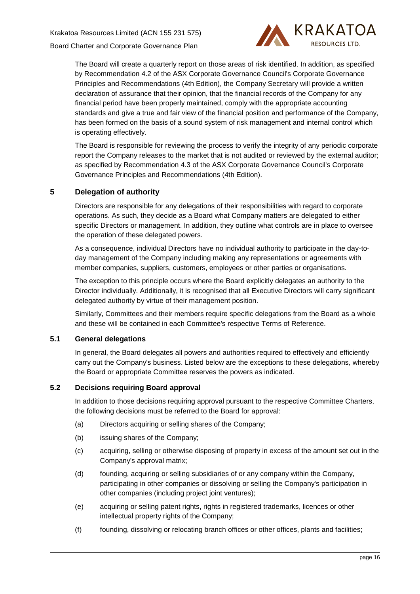

The Board will create a quarterly report on those areas of risk identified. In addition, as specified by Recommendation 4.2 of the ASX Corporate Governance Council's Corporate Governance Principles and Recommendations (4th Edition), the Company Secretary will provide a written declaration of assurance that their opinion, that the financial records of the Company for any financial period have been properly maintained, comply with the appropriate accounting standards and give a true and fair view of the financial position and performance of the Company, has been formed on the basis of a sound system of risk management and internal control which is operating effectively.

The Board is responsible for reviewing the process to verify the integrity of any periodic corporate report the Company releases to the market that is not audited or reviewed by the external auditor; as specified by Recommendation 4.3 of the ASX Corporate Governance Council's Corporate Governance Principles and Recommendations (4th Edition).

# <span id="page-18-0"></span>**5 Delegation of authority**

Directors are responsible for any delegations of their responsibilities with regard to corporate operations. As such, they decide as a Board what Company matters are delegated to either specific Directors or management. In addition, they outline what controls are in place to oversee the operation of these delegated powers.

As a consequence, individual Directors have no individual authority to participate in the day-today management of the Company including making any representations or agreements with member companies, suppliers, customers, employees or other parties or organisations.

The exception to this principle occurs where the Board explicitly delegates an authority to the Director individually. Additionally, it is recognised that all Executive Directors will carry significant delegated authority by virtue of their management position.

Similarly, Committees and their members require specific delegations from the Board as a whole and these will be contained in each Committee's respective Terms of Reference.

# <span id="page-18-1"></span>**5.1 General delegations**

In general, the Board delegates all powers and authorities required to effectively and efficiently carry out the Company's business. Listed below are the exceptions to these delegations, whereby the Board or appropriate Committee reserves the powers as indicated.

# <span id="page-18-2"></span>**5.2 Decisions requiring Board approval**

In addition to those decisions requiring approval pursuant to the respective Committee Charters, the following decisions must be referred to the Board for approval:

- (a) Directors acquiring or selling shares of the Company;
- (b) issuing shares of the Company;
- (c) acquiring, selling or otherwise disposing of property in excess of the amount set out in the Company's approval matrix;
- (d) founding, acquiring or selling subsidiaries of or any company within the Company, participating in other companies or dissolving or selling the Company's participation in other companies (including project joint ventures);
- (e) acquiring or selling patent rights, rights in registered trademarks, licences or other intellectual property rights of the Company;
- (f) founding, dissolving or relocating branch offices or other offices, plants and facilities;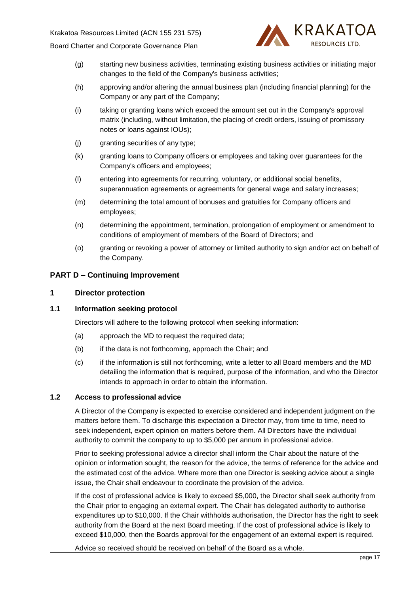

- (g) starting new business activities, terminating existing business activities or initiating major changes to the field of the Company's business activities;
- (h) approving and/or altering the annual business plan (including financial planning) for the Company or any part of the Company;
- (i) taking or granting loans which exceed the amount set out in the Company's approval matrix (including, without limitation, the placing of credit orders, issuing of promissory notes or loans against IOUs);
- (j) granting securities of any type;
- (k) granting loans to Company officers or employees and taking over guarantees for the Company's officers and employees;
- (l) entering into agreements for recurring, voluntary, or additional social benefits, superannuation agreements or agreements for general wage and salary increases;
- (m) determining the total amount of bonuses and gratuities for Company officers and employees;
- (n) determining the appointment, termination, prolongation of employment or amendment to conditions of employment of members of the Board of Directors; and
- (o) granting or revoking a power of attorney or limited authority to sign and/or act on behalf of the Company.

### <span id="page-19-0"></span>**PART D – Continuing Improvement**

### <span id="page-19-1"></span>**1 Director protection**

## <span id="page-19-2"></span>**1.1 Information seeking protocol**

Directors will adhere to the following protocol when seeking information:

- (a) approach the MD to request the required data;
- (b) if the data is not forthcoming, approach the Chair; and
- (c) if the information is still not forthcoming, write a letter to all Board members and the MD detailing the information that is required, purpose of the information, and who the Director intends to approach in order to obtain the information.

### <span id="page-19-3"></span>**1.2 Access to professional advice**

A Director of the Company is expected to exercise considered and independent judgment on the matters before them. To discharge this expectation a Director may, from time to time, need to seek independent, expert opinion on matters before them. All Directors have the individual authority to commit the company to up to \$5,000 per annum in professional advice.

Prior to seeking professional advice a director shall inform the Chair about the nature of the opinion or information sought, the reason for the advice, the terms of reference for the advice and the estimated cost of the advice. Where more than one Director is seeking advice about a single issue, the Chair shall endeavour to coordinate the provision of the advice.

If the cost of professional advice is likely to exceed \$5,000, the Director shall seek authority from the Chair prior to engaging an external expert. The Chair has delegated authority to authorise expenditures up to \$10,000. If the Chair withholds authorisation, the Director has the right to seek authority from the Board at the next Board meeting. If the cost of professional advice is likely to exceed \$10,000, then the Boards approval for the engagement of an external expert is required.

Advice so received should be received on behalf of the Board as a whole.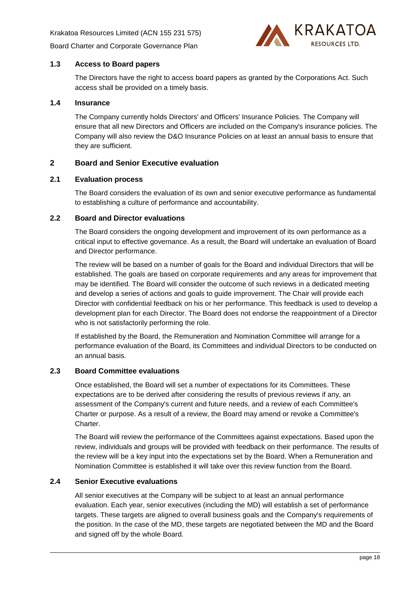

## <span id="page-20-0"></span>**1.3 Access to Board papers**

The Directors have the right to access board papers as granted by the Corporations Act. Such access shall be provided on a timely basis.

## <span id="page-20-1"></span>**1.4 Insurance**

The Company currently holds Directors' and Officers' Insurance Policies. The Company will ensure that all new Directors and Officers are included on the Company's insurance policies. The Company will also review the D&O Insurance Policies on at least an annual basis to ensure that they are sufficient.

## <span id="page-20-2"></span>**2 Board and Senior Executive evaluation**

### <span id="page-20-3"></span>**2.1 Evaluation process**

The Board considers the evaluation of its own and senior executive performance as fundamental to establishing a culture of performance and accountability.

### <span id="page-20-4"></span>**2.2 Board and Director evaluations**

The Board considers the ongoing development and improvement of its own performance as a critical input to effective governance. As a result, the Board will undertake an evaluation of Board and Director performance.

The review will be based on a number of goals for the Board and individual Directors that will be established. The goals are based on corporate requirements and any areas for improvement that may be identified. The Board will consider the outcome of such reviews in a dedicated meeting and develop a series of actions and goals to guide improvement. The Chair will provide each Director with confidential feedback on his or her performance. This feedback is used to develop a development plan for each Director. The Board does not endorse the reappointment of a Director who is not satisfactorily performing the role.

If established by the Board, the Remuneration and Nomination Committee will arrange for a performance evaluation of the Board, its Committees and individual Directors to be conducted on an annual basis.

## <span id="page-20-5"></span>**2.3 Board Committee evaluations**

Once established, the Board will set a number of expectations for its Committees. These expectations are to be derived after considering the results of previous reviews if any, an assessment of the Company's current and future needs, and a review of each Committee's Charter or purpose. As a result of a review, the Board may amend or revoke a Committee's Charter.

The Board will review the performance of the Committees against expectations. Based upon the review, individuals and groups will be provided with feedback on their performance. The results of the review will be a key input into the expectations set by the Board. When a Remuneration and Nomination Committee is established it will take over this review function from the Board.

### <span id="page-20-6"></span>**2.4 Senior Executive evaluations**

All senior executives at the Company will be subject to at least an annual performance evaluation. Each year, senior executives (including the MD) will establish a set of performance targets. These targets are aligned to overall business goals and the Company's requirements of the position. In the case of the MD, these targets are negotiated between the MD and the Board and signed off by the whole Board.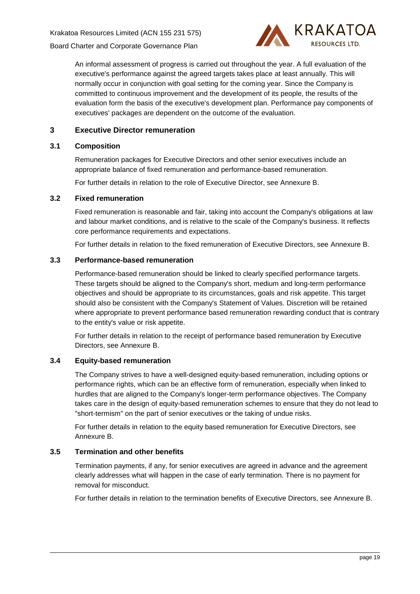

An informal assessment of progress is carried out throughout the year. A full evaluation of the executive's performance against the agreed targets takes place at least annually. This will normally occur in conjunction with goal setting for the coming year. Since the Company is committed to continuous improvement and the development of its people, the results of the evaluation form the basis of the executive's development plan. Performance pay components of executives' packages are dependent on the outcome of the evaluation.

# <span id="page-21-0"></span>**3 Executive Director remuneration**

## <span id="page-21-1"></span>**3.1 Composition**

Remuneration packages for Executive Directors and other senior executives include an appropriate balance of fixed remuneration and performance-based remuneration.

For further details in relation to the role of Executive Director, see [Annexure](#page-25-0) B.

### <span id="page-21-2"></span>**3.2 Fixed remuneration**

Fixed remuneration is reasonable and fair, taking into account the Company's obligations at law and labour market conditions, and is relative to the scale of the Company's business. It reflects core performance requirements and expectations.

For further details in relation to the fixed remuneration of Executive Directors, see [Annexure](#page-25-0) B.

## <span id="page-21-3"></span>**3.3 Performance-based remuneration**

Performance-based remuneration should be linked to clearly specified performance targets. These targets should be aligned to the Company's short, medium and long-term performance objectives and should be appropriate to its circumstances, goals and risk appetite. This target should also be consistent with the Company's Statement of Values. Discretion will be retained where appropriate to prevent performance based remuneration rewarding conduct that is contrary to the entity's value or risk appetite.

For further details in relation to the receipt of performance based remuneration by Executive Directors, see [Annexure](#page-25-0) B.

# <span id="page-21-4"></span>**3.4 Equity-based remuneration**

The Company strives to have a well-designed equity-based remuneration, including options or performance rights, which can be an effective form of remuneration, especially when linked to hurdles that are aligned to the Company's longer-term performance objectives. The Company takes care in the design of equity-based remuneration schemes to ensure that they do not lead to "short-termism" on the part of senior executives or the taking of undue risks.

For further details in relation to the equity based remuneration for Executive Directors, see [Annexure](#page-25-0) B.

# <span id="page-21-5"></span>**3.5 Termination and other benefits**

Termination payments, if any, for senior executives are agreed in advance and the agreement clearly addresses what will happen in the case of early termination. There is no payment for removal for misconduct.

For further details in relation to the termination benefits of Executive Directors, see [Annexure](#page-25-0) B.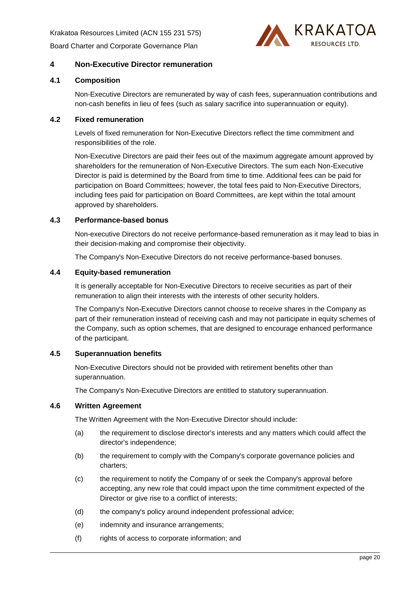Krakatoa Resources Limited (ACN 155 231 575) [Board Charter and Corporate Governance Plan](#page-0-1)



# <span id="page-22-0"></span>**4 Non-Executive Director remuneration**

## <span id="page-22-1"></span>**4.1 Composition**

Non-Executive Directors are remunerated by way of cash fees, superannuation contributions and non-cash benefits in lieu of fees (such as salary sacrifice into superannuation or equity).

## <span id="page-22-2"></span>**4.2 Fixed remuneration**

Levels of fixed remuneration for Non-Executive Directors reflect the time commitment and responsibilities of the role.

Non-Executive Directors are paid their fees out of the maximum aggregate amount approved by shareholders for the remuneration of Non-Executive Directors. The sum each Non-Executive Director is paid is determined by the Board from time to time. Additional fees can be paid for participation on Board Committees; however, the total fees paid to Non-Executive Directors, including fees paid for participation on Board Committees, are kept within the total amount approved by shareholders.

## <span id="page-22-3"></span>**4.3 Performance-based bonus**

Non-executive Directors do not receive performance-based remuneration as it may lead to bias in their decision-making and compromise their objectivity.

The Company's Non-Executive Directors do not receive performance-based bonuses.

### <span id="page-22-4"></span>**4.4 Equity-based remuneration**

It is generally acceptable for Non-Executive Directors to receive securities as part of their remuneration to align their interests with the interests of other security holders.

The Company's Non-Executive Directors cannot choose to receive shares in the Company as part of their remuneration instead of receiving cash and may not participate in equity schemes of the Company, such as option schemes, that are designed to encourage enhanced performance of the participant.

### <span id="page-22-5"></span>**4.5 Superannuation benefits**

Non-Executive Directors should not be provided with retirement benefits other than superannuation.

The Company's Non-Executive Directors are entitled to statutory superannuation.

### <span id="page-22-6"></span>**4.6 Written Agreement**

The Written Agreement with the Non-Executive Director should include:

- (a) the requirement to disclose director's interests and any matters which could affect the director's independence;
- (b) the requirement to comply with the Company's corporate governance policies and charters;
- (c) the requirement to notify the Company of or seek the Company's approval before accepting, any new role that could impact upon the time commitment expected of the Director or give rise to a conflict of interests;
- (d) the company's policy around independent professional advice;
- (e) indemnity and insurance arrangements;
- (f) rights of access to corporate information; and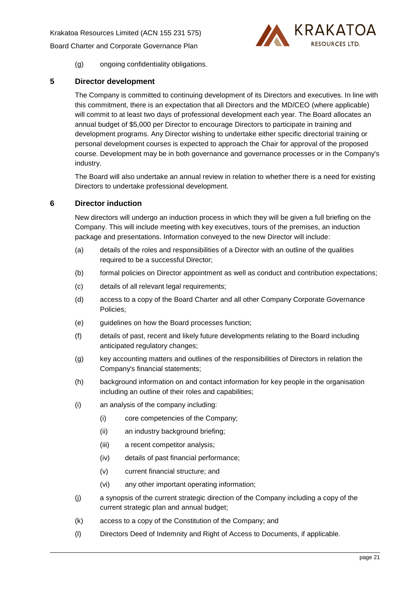Krakatoa Resources Limited (ACN 155 231 575)

[Board Charter and Corporate Governance Plan](#page-0-1)



(g) ongoing confidentiality obligations.

# <span id="page-23-0"></span>**5 Director development**

The Company is committed to continuing development of its Directors and executives. In line with this commitment, there is an expectation that all Directors and the MD/CEO (where applicable) will commit to at least two days of professional development each year. The Board allocates an annual budget of \$5,000 per Director to encourage Directors to participate in training and development programs. Any Director wishing to undertake either specific directorial training or personal development courses is expected to approach the Chair for approval of the proposed course. Development may be in both governance and governance processes or in the Company's industry.

The Board will also undertake an annual review in relation to whether there is a need for existing Directors to undertake professional development.

# <span id="page-23-1"></span>**6 Director induction**

New directors will undergo an induction process in which they will be given a full briefing on the Company. This will include meeting with key executives, tours of the premises, an induction package and presentations. Information conveyed to the new Director will include:

- (a) details of the roles and responsibilities of a Director with an outline of the qualities required to be a successful Director;
- (b) formal policies on Director appointment as well as conduct and contribution expectations;
- (c) details of all relevant legal requirements;
- (d) access to a copy of the Board Charter and all other Company Corporate Governance Policies;
- (e) guidelines on how the Board processes function;
- (f) details of past, recent and likely future developments relating to the Board including anticipated regulatory changes;
- (g) key accounting matters and outlines of the responsibilities of Directors in relation the Company's financial statements;
- (h) background information on and contact information for key people in the organisation including an outline of their roles and capabilities;
- (i) an analysis of the company including:
	- (i) core competencies of the Company;
	- (ii) an industry background briefing;
	- (iii) a recent competitor analysis;
	- (iv) details of past financial performance;
	- (v) current financial structure; and
	- (vi) any other important operating information;
- (j) a synopsis of the current strategic direction of the Company including a copy of the current strategic plan and annual budget;
- (k) access to a copy of the Constitution of the Company; and
- (l) Directors Deed of Indemnity and Right of Access to Documents, if applicable.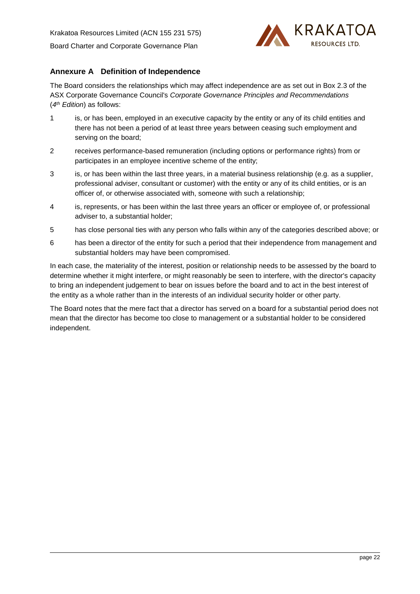

# **Annexure A Definition of Independence**

The Board considers the relationships which may affect independence are as set out in Box 2.3 of the ASX Corporate Governance Council's *Corporate Governance Principles and Recommendations* (*4 th Edition*) as follows:

- 1 is, or has been, employed in an executive capacity by the entity or any of its child entities and there has not been a period of at least three years between ceasing such employment and serving on the board;
- 2 receives performance-based remuneration (including options or performance rights) from or participates in an employee incentive scheme of the entity;
- 3 is, or has been within the last three years, in a material business relationship (e.g. as a supplier, professional adviser, consultant or customer) with the entity or any of its child entities, or is an officer of, or otherwise associated with, someone with such a relationship;
- 4 is, represents, or has been within the last three years an officer or employee of, or professional adviser to, a substantial holder;
- 5 has close personal ties with any person who falls within any of the categories described above; or
- 6 has been a director of the entity for such a period that their independence from management and substantial holders may have been compromised.

In each case, the materiality of the interest, position or relationship needs to be assessed by the board to determine whether it might interfere, or might reasonably be seen to interfere, with the director's capacity to bring an independent judgement to bear on issues before the board and to act in the best interest of the entity as a whole rather than in the interests of an individual security holder or other party.

The Board notes that the mere fact that a director has served on a board for a substantial period does not mean that the director has become too close to management or a substantial holder to be considered independent.